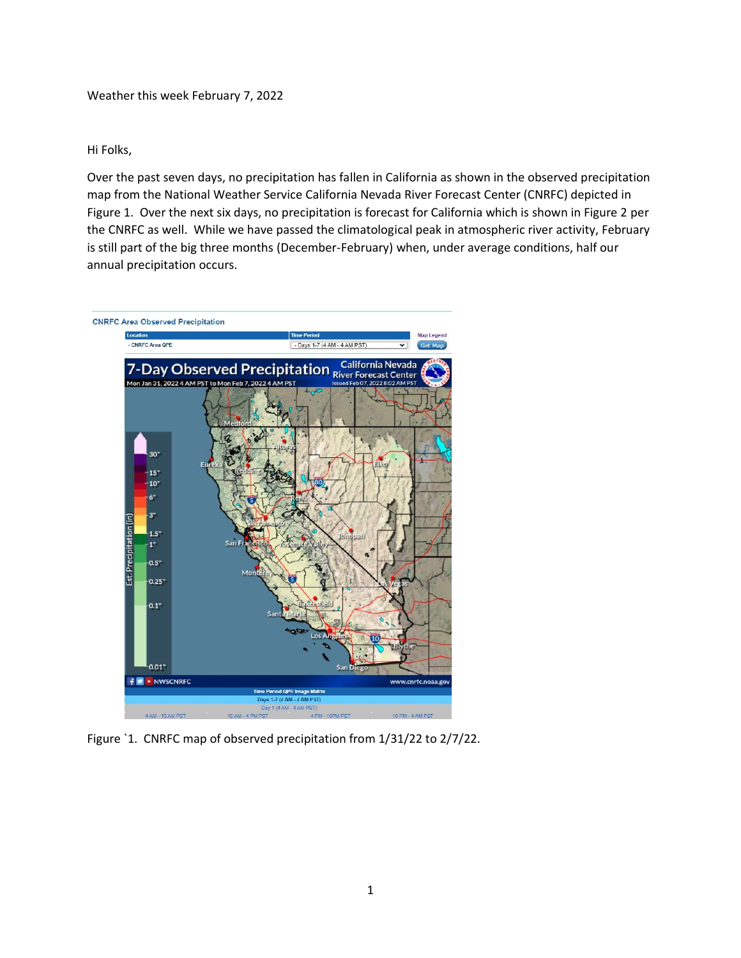Weather this week February 7, 2022

## Hi Folks,

Over the past seven days, no precipitation has fallen in California as shown in the observed precipitation map from the National Weather Service California Nevada River Forecast Center (CNRFC) depicted in Figure 1. Over the next six days, no precipitation is forecast for California which is shown in Figure 2 per the CNRFC as well. While we have passed the climatological peak in atmospheric river activity, February is still part of the big three months (December-February) when, under average conditions, half our annual precipitation occurs.



Figure `1. CNRFC map of observed precipitation from 1/31/22 to 2/7/22.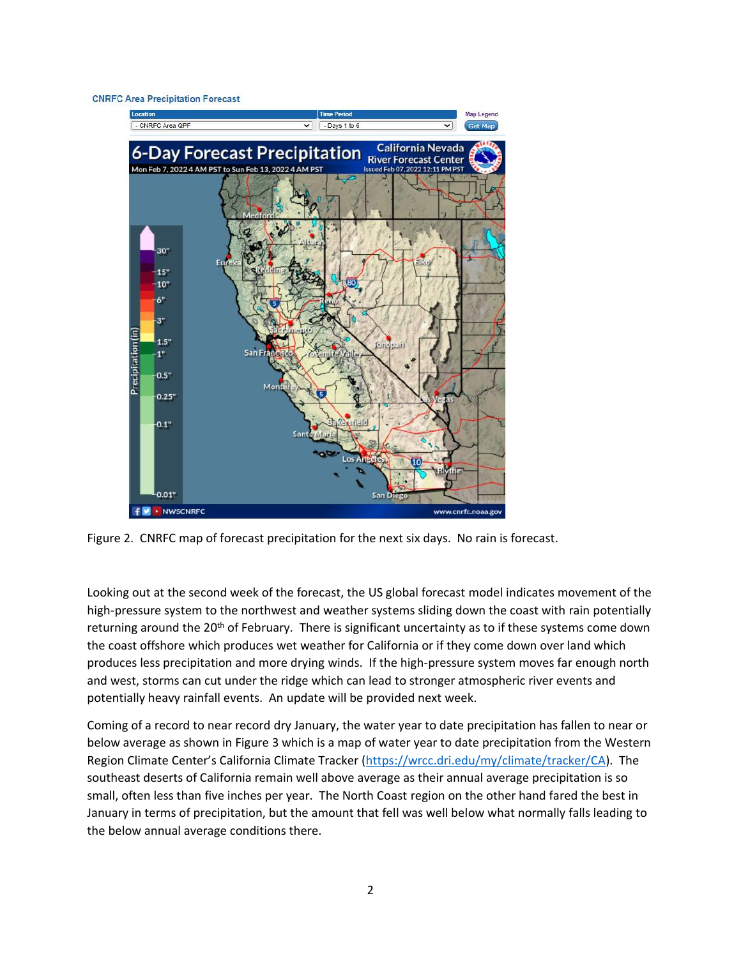## **CNRFC Area Precipitation Forecast**



Figure 2. CNRFC map of forecast precipitation for the next six days. No rain is forecast.

Looking out at the second week of the forecast, the US global forecast model indicates movement of the high-pressure system to the northwest and weather systems sliding down the coast with rain potentially returning around the  $20<sup>th</sup>$  of February. There is significant uncertainty as to if these systems come down the coast offshore which produces wet weather for California or if they come down over land which produces less precipitation and more drying winds. If the high-pressure system moves far enough north and west, storms can cut under the ridge which can lead to stronger atmospheric river events and potentially heavy rainfall events. An update will be provided next week.

Coming of a record to near record dry January, the water year to date precipitation has fallen to near or below average as shown in Figure 3 which is a map of water year to date precipitation from the Western Region Climate Center's California Climate Tracker ([https://wrcc.dri.edu/my/climate/tracker/CA\)](https://wrcc.dri.edu/my/climate/tracker/CA). The southeast deserts of California remain well above average as their annual average precipitation is so small, often less than five inches per year. The North Coast region on the other hand fared the best in January in terms of precipitation, but the amount that fell was well below what normally falls leading to the below annual average conditions there.